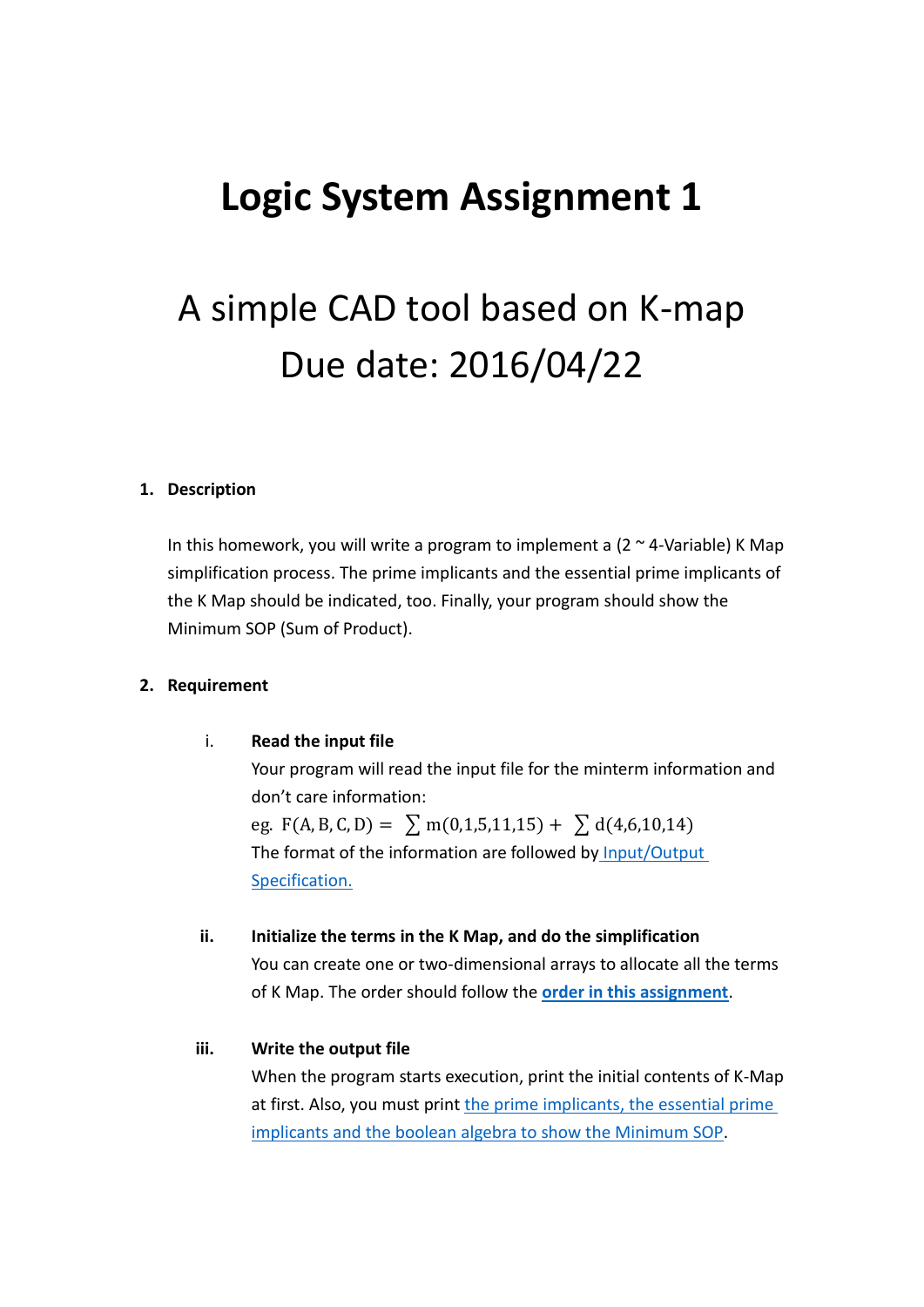## **Logic System Assignment 1**

# A simple CAD tool based on K-map Due date: 2016/04/22

#### **1. Description**

In this homework, you will write a program to implement a  $(2 \sim 4$ -Variable) K Map simplification process. The prime implicants and the essential prime implicants of the K Map should be indicated, too. Finally, your program should show the Minimum SOP (Sum of Product).

#### **2. Requirement**

i. **Read the input file** 

Your program will read the input file for the minterm information and don't care information: eg. F(A, B, C, D) =  $\sum$  m(0,1,5,11,15) +  $\sum$  d(4,6,10,14) The format of the information are followed by [Input/Output](#page-1-0)  [Specification.](#page-1-0)

#### **ii. Initialize the terms in the K Map, and do the simplification**

You can create one or two-dimensional arrays to allocate all the terms of K Map. The order should follow the **[order in this assignment](#page-2-0)**.

#### **iii. Write the output file**

When the program starts execution, print the initial contents of K-Map at first. Also, you must print [the prime implicants,](#page-1-1) the essential prime implicants and the [boolean algebra to show the Minimum SOP.](#page-1-1)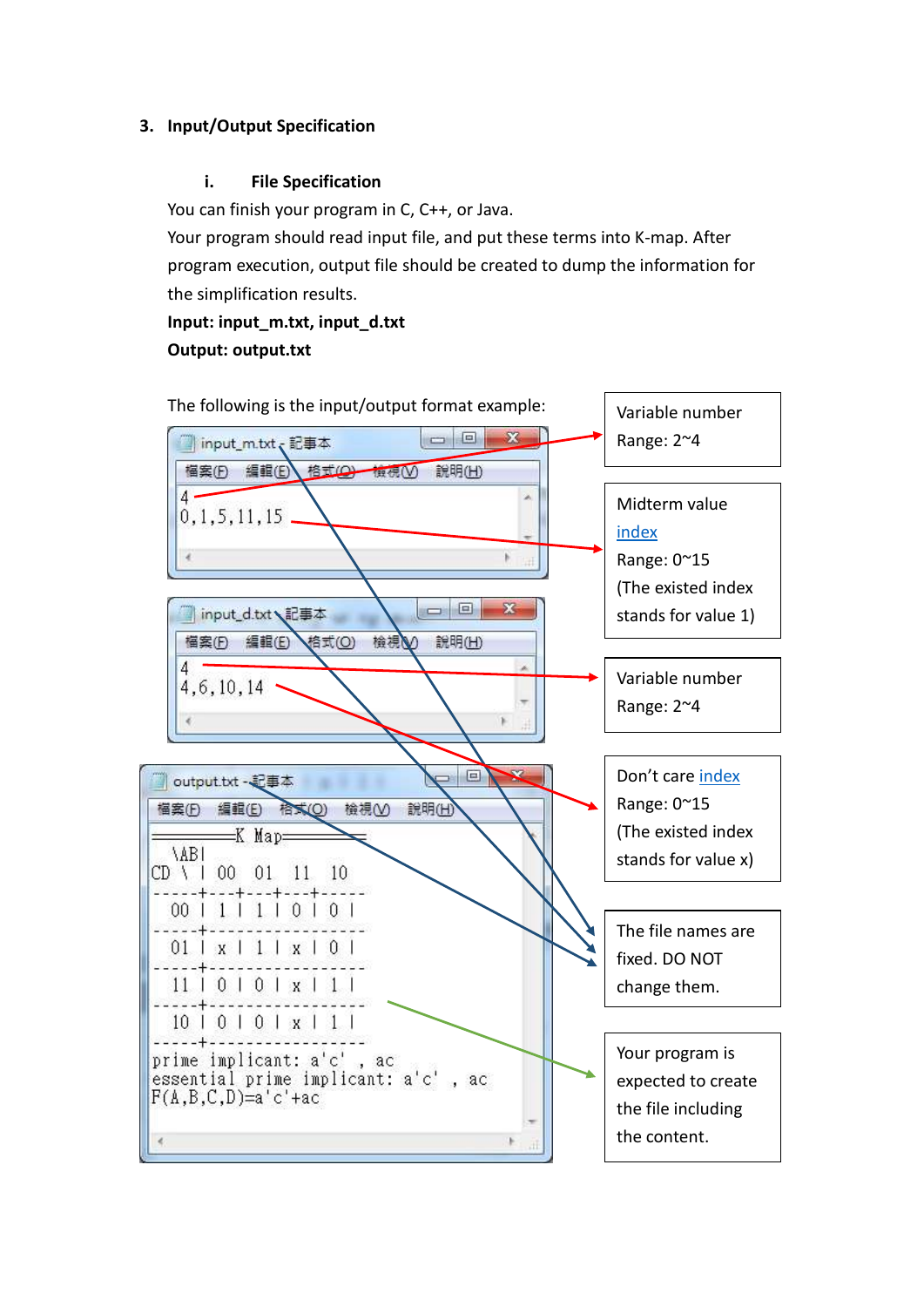## <span id="page-1-0"></span>**3. Input/Output Specification**

## **i. File Specification**

You can finish your program in C, C++, or Java.

Your program should read input file, and put these terms into K-map. After program execution, output file should be created to dump the information for the simplification results.

**Input: input\_m.txt, input\_d.txt Output: output.txt**

<span id="page-1-1"></span>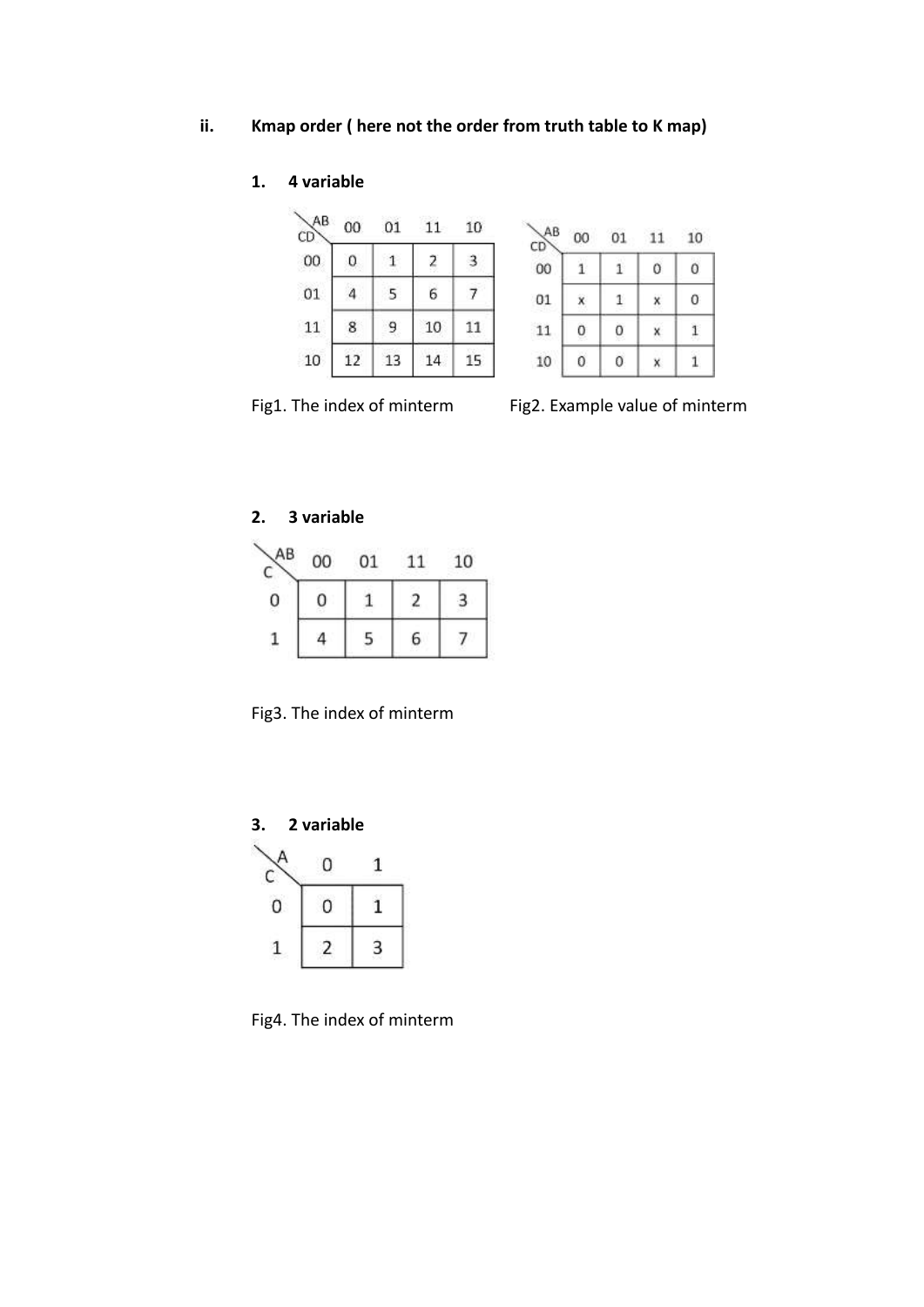## <span id="page-2-0"></span>**ii. Kmap order ( here not the order from truth table to K map)**

## **1. 4 variable**

| ΑB<br>CD | 00 | 01 | 11 | 10 |
|----------|----|----|----|----|
| 00       | 0  |    | 2  |    |
| 01       |    |    | 6  |    |
| 11       | 8  | 9  | 10 | 11 |
| 10       | 12 | 13 | 14 | 15 |

| AB<br>CD) | 00 | $^{01}$ |   | 10 |
|-----------|----|---------|---|----|
| 00        |    | ŝ       | 0 | 0  |
| 01        |    | Ľ       |   | 0  |
| 11        | 0  | 0       |   |    |
| 10        | 0  | 0       |   |    |

Fig1. The index of minterm Fig2. Example value of minterm

## **2. 3 variable**

霞

| АB       | 00 | 01 |   | 10 |
|----------|----|----|---|----|
| 0<br>79. | н  |    |   |    |
|          |    |    | 6 |    |

Fig3. The index of minterm



Fig4. The index of minterm